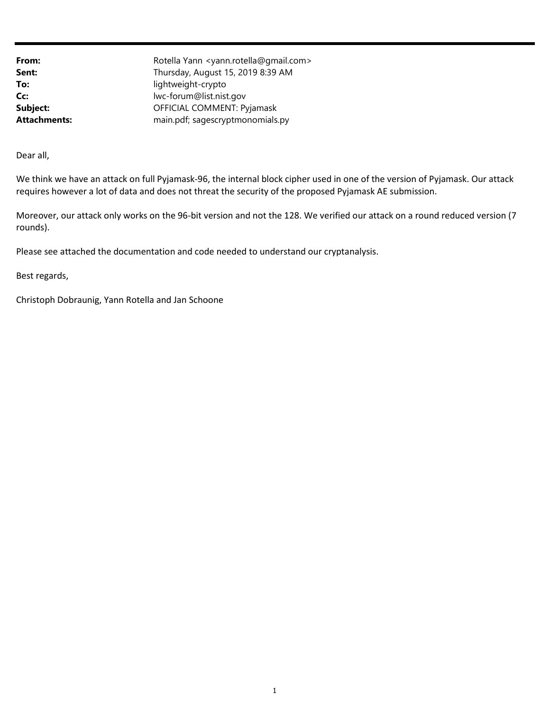| From:        | Rotella Yann <yann.rotella@gmail.com></yann.rotella@gmail.com> |
|--------------|----------------------------------------------------------------|
| Sent:        | Thursday, August 15, 2019 8:39 AM                              |
| To:          | lightweight-crypto                                             |
| Cc:          | lwc-forum@list.nist.gov                                        |
| Subject:     | OFFICIAL COMMENT: Pyjamask                                     |
| Attachments: | main.pdf; sagescryptmonomials.py                               |
|              |                                                                |

Dear all,

 We think we have an attack on full Pyjamask-96, the internal block cipher used in one of the version of Pyjamask. Our attack requires however a lot of data and does not threat the security of the proposed Pyjamask AE submission.

 Moreover, our attack only works on the 96-bit version and not the 128. We verified our attack on a round reduced version (7 rounds).

Please see attached the documentation and code needed to understand our cryptanalysis.

Best regards,

Christoph Dobraunig, Yann Rotella and Jan Schoone